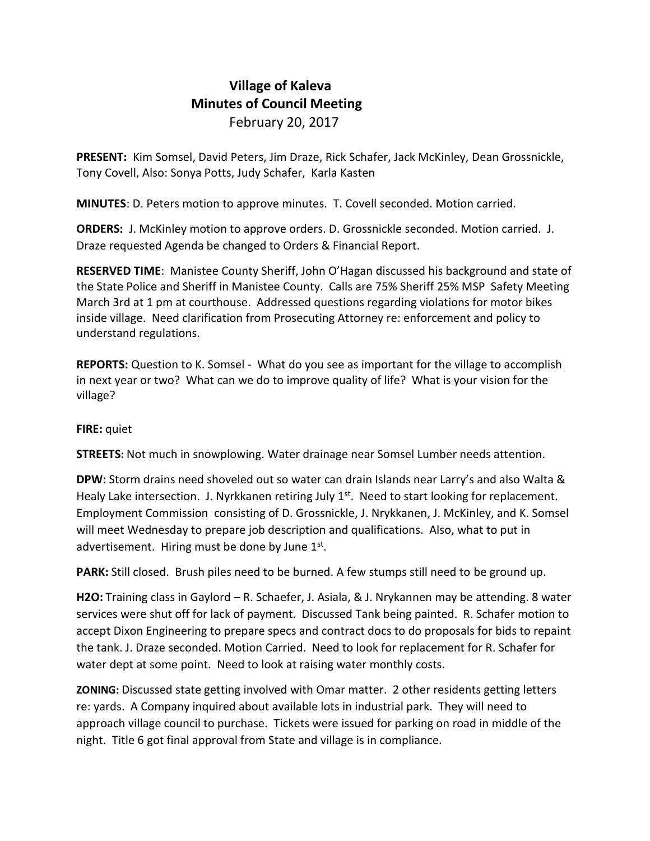## **Village of Kaleva Minutes of Council Meeting** February 20, 2017

**PRESENT:** Kim Somsel, David Peters, Jim Draze, Rick Schafer, Jack McKinley, Dean Grossnickle, Tony Covell, Also: Sonya Potts, Judy Schafer, Karla Kasten

**MINUTES**: D. Peters motion to approve minutes. T. Covell seconded. Motion carried.

**ORDERS:** J. McKinley motion to approve orders. D. Grossnickle seconded. Motion carried. J. Draze requested Agenda be changed to Orders & Financial Report.

**RESERVED TIME**: Manistee County Sheriff, John O'Hagan discussed his background and state of the State Police and Sheriff in Manistee County. Calls are 75% Sheriff 25% MSP Safety Meeting March 3rd at 1 pm at courthouse. Addressed questions regarding violations for motor bikes inside village. Need clarification from Prosecuting Attorney re: enforcement and policy to understand regulations.

**REPORTS:** Question to K. Somsel - What do you see as important for the village to accomplish in next year or two? What can we do to improve quality of life? What is your vision for the village?

## **FIRE:** quiet

**STREETS:** Not much in snowplowing. Water drainage near Somsel Lumber needs attention.

**DPW:** Storm drains need shoveled out so water can drain Islands near Larry's and also Walta & Healy Lake intersection. J. Nyrkkanen retiring July  $1<sup>st</sup>$ . Need to start looking for replacement. Employment Commission consisting of D. Grossnickle, J. Nrykkanen, J. McKinley, and K. Somsel will meet Wednesday to prepare job description and qualifications. Also, what to put in advertisement. Hiring must be done by June  $1<sup>st</sup>$ .

**PARK:** Still closed. Brush piles need to be burned. A few stumps still need to be ground up.

**H2O:** Training class in Gaylord – R. Schaefer, J. Asiala, & J. Nrykannen may be attending. 8 water services were shut off for lack of payment. Discussed Tank being painted. R. Schafer motion to accept Dixon Engineering to prepare specs and contract docs to do proposals for bids to repaint the tank. J. Draze seconded. Motion Carried. Need to look for replacement for R. Schafer for water dept at some point. Need to look at raising water monthly costs.

**ZONING:** Discussed state getting involved with Omar matter. 2 other residents getting letters re: yards. A Company inquired about available lots in industrial park. They will need to approach village council to purchase. Tickets were issued for parking on road in middle of the night. Title 6 got final approval from State and village is in compliance.